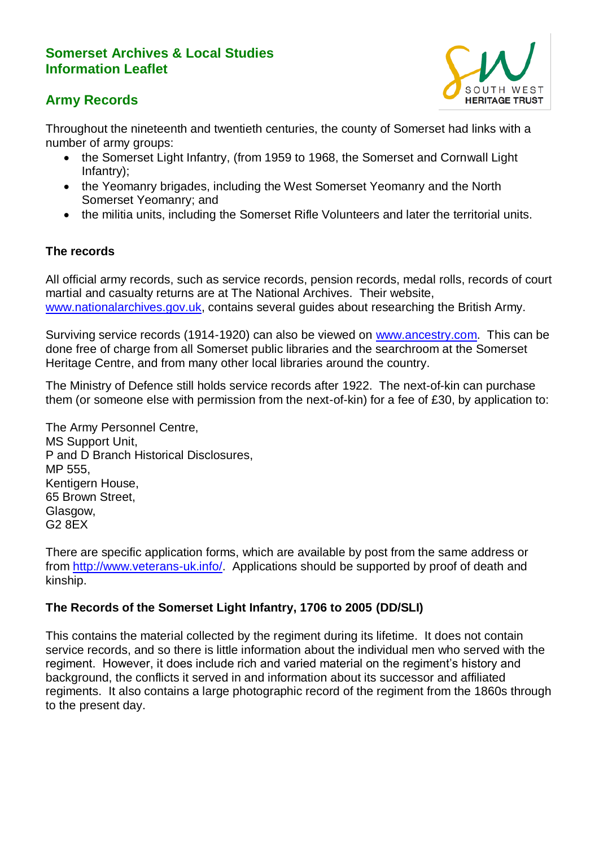# **Somerset Archives & Local Studies Information Leaflet**





Throughout the nineteenth and twentieth centuries, the county of Somerset had links with a number of army groups:

- the Somerset Light Infantry, (from 1959 to 1968, the Somerset and Cornwall Light Infantry);
- the Yeomanry brigades, including the West Somerset Yeomanry and the North Somerset Yeomanry; and
- the militia units, including the Somerset Rifle Volunteers and later the territorial units.

### **The records**

All official army records, such as service records, pension records, medal rolls, records of court martial and casualty returns are at The National Archives. Their website, [www.nationalarchives.gov.uk,](http://www.nationalarchives.gov.uk/) contains several quides about researching the British Army.

Surviving service records (1914-1920) can also be viewed on [www.ancestry.com.](http://www.ancestry.com/) This can be done free of charge from all Somerset public libraries and the searchroom at the Somerset Heritage Centre, and from many other local libraries around the country.

The Ministry of Defence still holds service records after 1922. The next-of-kin can purchase them (or someone else with permission from the next-of-kin) for a fee of £30, by application to:

The Army Personnel Centre, MS Support Unit, P and D Branch Historical Disclosures, MP 555, Kentigern House, 65 Brown Street, Glasgow,  $G2$   $8$  $\overline{F}X$ 

There are specific application forms, which are available by post from the same address or from [http://www.veterans-uk.info/.](http://www.veterans-uk.info/) Applications should be supported by proof of death and kinship.

#### **The Records of the Somerset Light Infantry, 1706 to 2005 (DD/SLI)**

This contains the material collected by the regiment during its lifetime. It does not contain service records, and so there is little information about the individual men who served with the regiment. However, it does include rich and varied material on the regiment's history and background, the conflicts it served in and information about its successor and affiliated regiments. It also contains a large photographic record of the regiment from the 1860s through to the present day.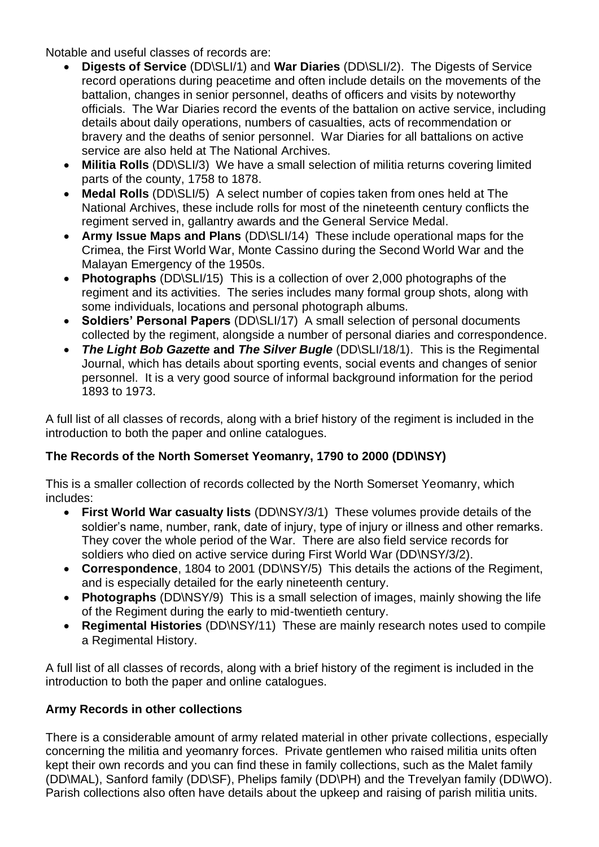Notable and useful classes of records are:

- **Digests of Service** (DD\SLI/1) and **War Diaries** (DD\SLI/2). The Digests of Service record operations during peacetime and often include details on the movements of the battalion, changes in senior personnel, deaths of officers and visits by noteworthy officials. The War Diaries record the events of the battalion on active service, including details about daily operations, numbers of casualties, acts of recommendation or bravery and the deaths of senior personnel. War Diaries for all battalions on active service are also held at The National Archives.
- **Militia Rolls** (DD\SLI/3) We have a small selection of militia returns covering limited parts of the county, 1758 to 1878.
- **Medal Rolls** (DD\SLI/5) A select number of copies taken from ones held at The National Archives, these include rolls for most of the nineteenth century conflicts the regiment served in, gallantry awards and the General Service Medal.
- **Army Issue Maps and Plans** (DD\SLI/14) These include operational maps for the Crimea, the First World War, Monte Cassino during the Second World War and the Malayan Emergency of the 1950s.
- **Photographs** (DD\SLI/15) This is a collection of over 2,000 photographs of the regiment and its activities. The series includes many formal group shots, along with some individuals, locations and personal photograph albums.
- **Soldiers' Personal Papers** (DD\SLI/17) A small selection of personal documents collected by the regiment, alongside a number of personal diaries and correspondence.
- *The Light Bob Gazette* **and** *The Silver Bugle* (DD\SLI/18/1). This is the Regimental Journal, which has details about sporting events, social events and changes of senior personnel. It is a very good source of informal background information for the period 1893 to 1973.

A full list of all classes of records, along with a brief history of the regiment is included in the introduction to both the paper and online catalogues.

# **The Records of the North Somerset Yeomanry, 1790 to 2000 (DD\NSY)**

This is a smaller collection of records collected by the North Somerset Yeomanry, which includes:

- **First World War casualty lists** (DD\NSY/3/1) These volumes provide details of the soldier's name, number, rank, date of injury, type of injury or illness and other remarks. They cover the whole period of the War. There are also field service records for soldiers who died on active service during First World War (DD\NSY/3/2).
- **Correspondence**, 1804 to 2001 (DD\NSY/5) This details the actions of the Regiment, and is especially detailed for the early nineteenth century.
- **Photographs** (DD\NSY/9) This is a small selection of images, mainly showing the life of the Regiment during the early to mid-twentieth century.
- **Regimental Histories** (DD\NSY/11) These are mainly research notes used to compile a Regimental History.

A full list of all classes of records, along with a brief history of the regiment is included in the introduction to both the paper and online catalogues.

# **Army Records in other collections**

There is a considerable amount of army related material in other private collections, especially concerning the militia and yeomanry forces. Private gentlemen who raised militia units often kept their own records and you can find these in family collections, such as the Malet family (DD\MAL), Sanford family (DD\SF), Phelips family (DD\PH) and the Trevelyan family (DD\WO). Parish collections also often have details about the upkeep and raising of parish militia units.